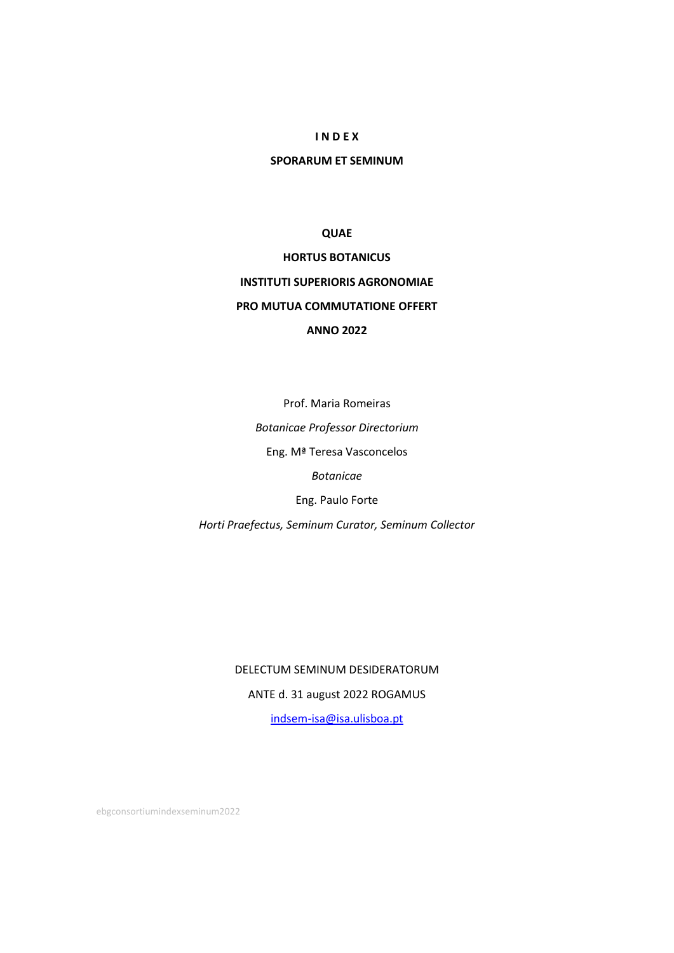# **I N D E X**

# **SPORARUM ET SEMINUM**

# **QUAE**

# **HORTUS BOTANICUS INSTITUTI SUPERIORIS AGRONOMIAE PRO MUTUA COMMUTATIONE OFFERT ANNO 2022**

Prof. Maria Romeiras *Botanicae Professor Directorium* Eng. Mª Teresa Vasconcelos *Botanicae* Eng. Paulo Forte *Horti Praefectus, Seminum Curator, Seminum Collector*

# DELECTUM SEMINUM DESIDERATORUM

ANTE d. 31 august 2022 ROGAMUS

[indsem-isa@isa.ulisboa.pt](mailto:indsem-isa@isa.ulisboa.pt)

ebgconsortiumindexseminum2022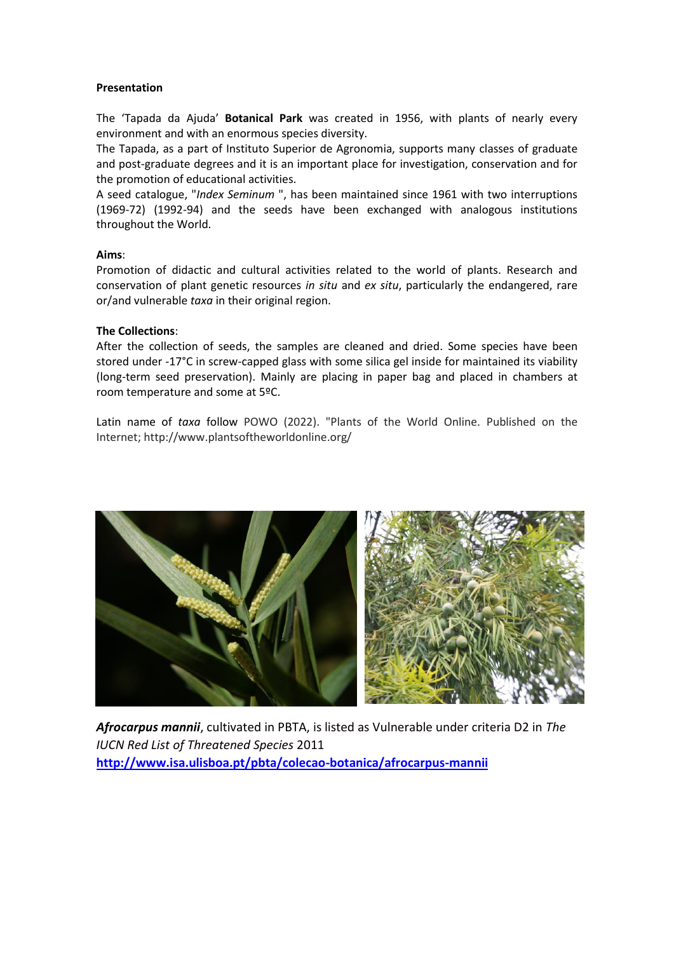# **Presentation**

The 'Tapada da Ajuda' **Botanical Park** was created in 1956, with plants of nearly every environment and with an enormous species diversity.

The Tapada, as a part of Instituto Superior de Agronomia, supports many classes of graduate and post-graduate degrees and it is an important place for investigation, conservation and for the promotion of educational activities.

A seed catalogue, "*Index Seminum* ", has been maintained since 1961 with two interruptions (1969-72) (1992-94) and the seeds have been exchanged with analogous institutions throughout the World.

# **Aims**:

Promotion of didactic and cultural activities related to the world of plants. Research and conservation of plant genetic resources *in situ* and *ex situ*, particularly the endangered, rare or/and vulnerable *taxa* in their original region.

# **The Collections**:

After the collection of seeds, the samples are cleaned and dried. Some species have been stored under -17°C in screw-capped glass with some silica gel inside for maintained its viability (long-term seed preservation). Mainly are placing in paper bag and placed in chambers at room temperature and some at 5ºC.

Latin name of *taxa* follow POWO (2022). "Plants of the World Online. Published on the Internet; http://www.plantsoftheworldonline.org/



*Afrocarpus mannii*, cultivated in PBTA, is listed as Vulnerable under criteria D2 in *The IUCN Red List of Threatened Species* 2011 **<http://www.isa.ulisboa.pt/pbta/colecao-botanica/afrocarpus-mannii>**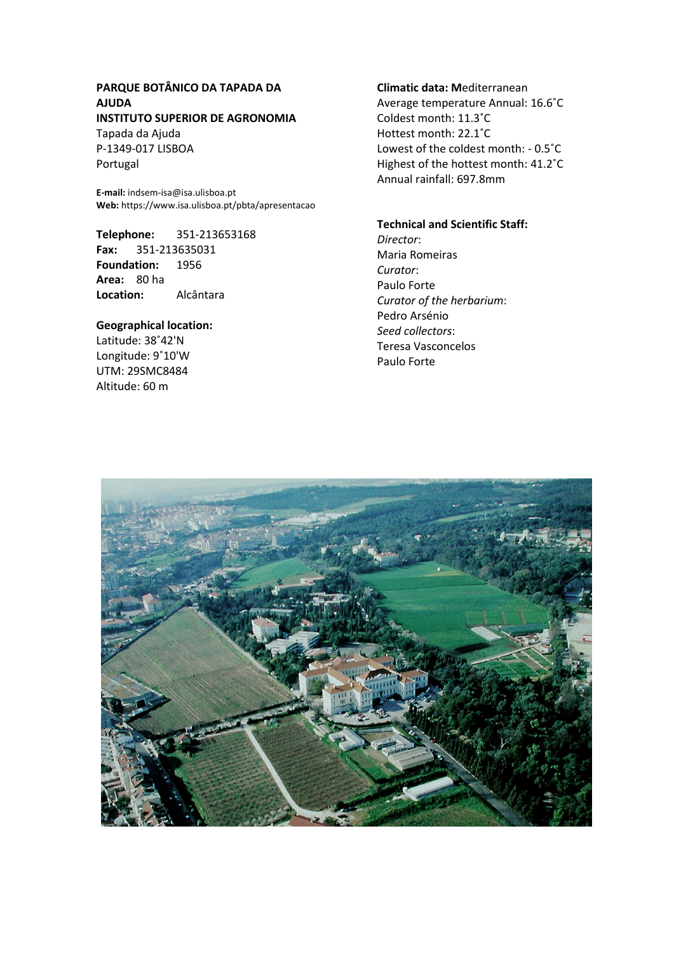# **PARQUE BOTÂNICO DA TAPADA DA AJUDA INSTITUTO SUPERIOR DE AGRONOMIA**

Tapada da Ajuda P-1349-017 LISBOA Portugal

**E-mail:** indsem-isa@isa.ulisboa.pt **Web:** https://www.isa.ulisboa.pt/pbta/apresentacao

**Telephone:** 351-213653168 **Fax:** 351-213635031 **Foundation:** 1956 **Area:** 80 ha **Location:** Alcântara

# **Geographical location:**

Latitude: 38˚42'N Longitude: 9˚10'W UTM: 29SMC8484 Altitude: 60 m

# **Climatic data: M**editerranean

Average temperature Annual: 16.6˚C Coldest month: 11.3˚C Hottest month: 22.1˚C Lowest of the coldest month: - 0.5˚C Highest of the hottest month: 41.2˚C Annual rainfall: 697.8mm

# **Technical and Scientific Staff:**

*Director*: Maria Romeiras *Curator*: Paulo Forte *Curator of the herbarium*: Pedro Arsénio *Seed collectors*: Teresa Vasconcelos Paulo Forte

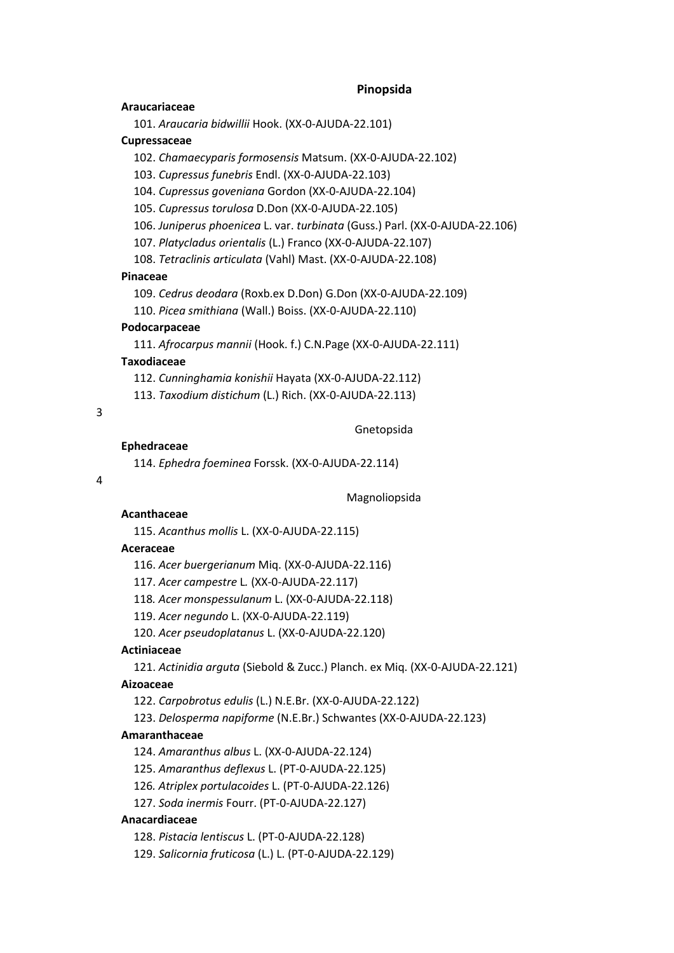### **Pinopsida**

### **Araucariaceae**

101. *Araucaria bidwillii* Hook. (XX-0-AJUDA-22.101)

### **Cupressaceae**

102. *Chamaecyparis formosensis* Matsum. (XX-0-AJUDA-22.102)

103. *Cupressus funebris* Endl. (XX-0-AJUDA-22.103)

104. *Cupressus goveniana* Gordon (XX-0-AJUDA-22.104)

105. *Cupressus torulosa* D.Don (XX-0-AJUDA-22.105)

106. *Juniperus phoenicea* L. var. *turbinata* (Guss.) Parl. (XX-0-AJUDA-22.106)

107. *Platycladus orientalis* (L.) Franco (XX-0-AJUDA-22.107)

108. *Tetraclinis articulata* (Vahl) Mast. (XX-0-AJUDA-22.108)

### **Pinaceae**

109. *Cedrus deodara* (Roxb.ex D.Don) G.Don (XX-0-AJUDA-22.109)

110. *Picea smithiana* (Wall.) Boiss. (XX-0-AJUDA-22.110)

# **Podocarpaceae**

111. *Afrocarpus mannii* (Hook. f.) C.N.Page (XX-0-AJUDA-22.111)

### **Taxodiaceae**

112. *Cunninghamia konishii* Hayata (XX-0-AJUDA-22.112)

113. *Taxodium distichum* (L.) Rich. (XX-0-AJUDA-22.113)

# 3

Gnetopsida

#### **Ephedraceae**

114. *Ephedra foeminea* Forssk. (XX-0-AJUDA-22.114)

#### $\Delta$

Magnoliopsida

### **Acanthaceae**

115. *Acanthus mollis* L. (XX-0-AJUDA-22.115)

### **Aceraceae**

116. *Acer buergerianum* Miq. (XX-0-AJUDA-22.116)

117. *Acer campestre* L*.* (XX-0-AJUDA-22.117)

118*. Acer monspessulanum* L. (XX-0-AJUDA-22.118)

119. *Acer negundo* L. (XX-0-AJUDA-22.119)

120. *Acer pseudoplatanus* L. (XX-0-AJUDA-22.120)

# **Actiniaceae**

121. *Actinidia arguta* (Siebold & Zucc.) Planch. ex Miq. (XX-0-AJUDA-22.121)

### **Aizoaceae**

122. *Carpobrotus edulis* (L.) N.E.Br. (XX-0-AJUDA-22.122)

123. *Delosperma napiforme* (N.E.Br.) Schwantes (XX-0-AJUDA-22.123)

### **Amaranthaceae**

124. *Amaranthus albus* L. (XX-0-AJUDA-22.124)

125. *Amaranthus deflexus* L. (PT-0-AJUDA-22.125)

126*. Atriplex portulacoides* L. (PT-0-AJUDA-22.126)

127. *Soda inermis* Fourr. (PT-0-AJUDA-22.127)

# **Anacardiaceae**

128. *Pistacia lentiscus* L. (PT-0-AJUDA-22.128)

129. *Salicornia fruticosa* (L.) L. (PT-0-AJUDA-22.129)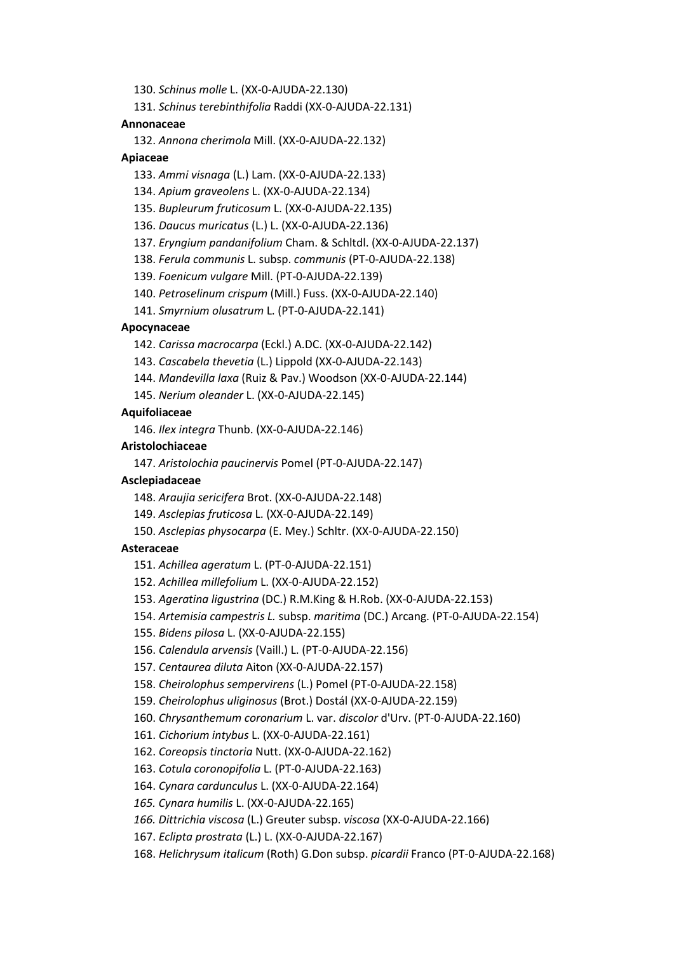130. *Schinus molle* L. (XX-0-AJUDA-22.130)

131. *Schinus terebinthifolia* Raddi (XX-0-AJUDA-22.131)

#### **Annonaceae**

132. *Annona cherimola* Mill. (XX-0-AJUDA-22.132)

### **Apiaceae**

133. *Ammi visnaga* (L.) Lam. (XX-0-AJUDA-22.133)

134. *Apium graveolens* L. (XX-0-AJUDA-22.134)

135. *Bupleurum fruticosum* L. (XX-0-AJUDA-22.135)

136. *Daucus muricatus* (L.) L. (XX-0-AJUDA-22.136)

137. *Eryngium pandanifolium* Cham. & Schltdl. (XX-0-AJUDA-22.137)

138. *Ferula communis* L. subsp. *communis* (PT-0-AJUDA-22.138)

139. *Foenicum vulgare* Mill. (PT-0-AJUDA-22.139)

140. *Petroselinum crispum* (Mill.) Fuss. (XX-0-AJUDA-22.140)

141. *Smyrnium olusatrum* L. (PT-0-AJUDA-22.141)

# **Apocynaceae**

142. *Carissa macrocarpa* (Eckl.) A.DC. (XX-0-AJUDA-22.142)

143. *Cascabela thevetia* (L.) Lippold (XX-0-AJUDA-22.143)

144. *Mandevilla laxa* (Ruiz & Pav.) Woodson (XX-0-AJUDA-22.144)

145. *Nerium oleander* L. (XX-0-AJUDA-22.145)

### **Aquifoliaceae**

146. *Ilex integra* Thunb. (XX-0-AJUDA-22.146)

### **Aristolochiaceae**

147. *Aristolochia paucinervis* Pomel (PT-0-AJUDA-22.147)

# **Asclepiadaceae**

148. *Araujia sericifera* Brot. (XX-0-AJUDA-22.148)

149. *Asclepias fruticosa* L. (XX-0-AJUDA-22.149)

150. *Asclepias physocarpa* (E. Mey.) Schltr. (XX-0-AJUDA-22.150)

### **Asteraceae**

151. *Achillea ageratum* L. (PT-0-AJUDA-22.151)

- 152. *Achillea millefolium* L. (XX-0-AJUDA-22.152)
- 153. *Ageratina ligustrina* (DC.) R.M.King & H.Rob. (XX-0-AJUDA-22.153)
- 154. *Artemisia campestris L.* subsp. *maritima* (DC.) Arcang. (PT-0-AJUDA-22.154)
- 155. *Bidens pilosa* L. (XX-0-AJUDA-22.155)
- 156. *Calendula arvensis* (Vaill.) L. (PT-0-AJUDA-22.156)

157. *Centaurea diluta* Aiton (XX-0-AJUDA-22.157)

- 158. *Cheirolophus sempervirens* (L.) Pomel (PT-0-AJUDA-22.158)
- 159. *Cheirolophus uliginosus* (Brot.) Dostál (XX-0-AJUDA-22.159)
- 160. *Chrysanthemum coronarium* L. var. *discolor* d'Urv. (PT-0-AJUDA-22.160)
- 161. *Cichorium intybus* L. (XX-0-AJUDA-22.161)
- 162. *Coreopsis tinctoria* Nutt. (XX-0-AJUDA-22.162)
- 163. *Cotula coronopifolia* L. (PT-0-AJUDA-22.163)
- 164. *Cynara cardunculus* L. (XX-0-AJUDA-22.164)
- *165. Cynara humilis* L. (XX-0-AJUDA-22.165)
- *166. Dittrichia viscosa* (L.) Greuter subsp. *viscosa* (XX-0-AJUDA-22.166)

167. *Eclipta prostrata* (L.) L. (XX-0-AJUDA-22.167)

168. *Helichrysum italicum* (Roth) G.Don subsp. *picardii* Franco (PT-0-AJUDA-22.168)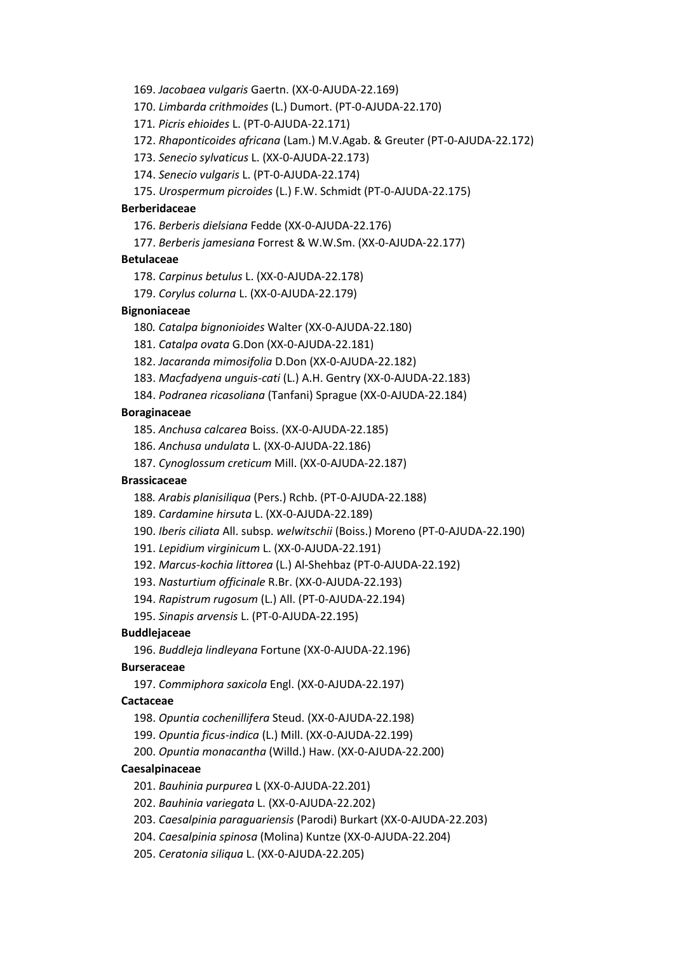169. *Jacobaea vulgaris* Gaertn. (XX-0-AJUDA-22.169)

170. *Limbarda crithmoides* (L.) Dumort. (PT-0-AJUDA-22.170)

171*. Picris ehioides* L. (PT-0-AJUDA-22.171)

172. *Rhaponticoides africana* (Lam.) M.V.Agab. & Greuter (PT-0-AJUDA-22.172)

173. *Senecio sylvaticus* L. (XX-0-AJUDA-22.173)

174. *Senecio vulgaris* L. (PT-0-AJUDA-22.174)

175. *Urospermum picroides* (L.) F.W. Schmidt (PT-0-AJUDA-22.175)

### **Berberidaceae**

176. *Berberis dielsiana* Fedde (XX-0-AJUDA-22.176)

177. *Berberis jamesiana* Forrest & W.W.Sm. (XX-0-AJUDA-22.177)

### **Betulaceae**

178. *Carpinus betulus* L. (XX-0-AJUDA-22.178)

179. *Corylus colurna* L. (XX-0-AJUDA-22.179)

### **Bignoniaceae**

180*. Catalpa bignonioides* Walter (XX-0-AJUDA-22.180)

181. *Catalpa ovata* G.Don (XX-0-AJUDA-22.181)

182. *Jacaranda mimosifolia* D.Don (XX-0-AJUDA-22.182)

183. *Macfadyena unguis-cati* (L.) A.H. Gentry (XX-0-AJUDA-22.183)

184. *Podranea ricasoliana* (Tanfani) Sprague (XX-0-AJUDA-22.184)

# **Boraginaceae**

185. *Anchusa calcarea* Boiss. (XX-0-AJUDA-22.185)

186. *Anchusa undulata* L. (XX-0-AJUDA-22.186)

187. *Cynoglossum creticum* Mill. (XX-0-AJUDA-22.187)

# **Brassicaceae**

188*. Arabis planisiliqua* (Pers.) Rchb. (PT-0-AJUDA-22.188)

189. *Cardamine hirsuta* L. (XX-0-AJUDA-22.189)

190. *Iberis ciliata* All. subsp. *welwitschii* (Boiss.) Moreno (PT-0-AJUDA-22.190)

191. *Lepidium virginicum* L. (XX-0-AJUDA-22.191)

192. *Marcus-kochia littorea* (L.) Al-Shehbaz (PT-0-AJUDA-22.192)

193. *Nasturtium officinale* R.Br. (XX-0-AJUDA-22.193)

194. *Rapistrum rugosum* (L.) All. (PT-0-AJUDA-22.194)

195. *Sinapis arvensis* L. (PT-0-AJUDA-22.195)

# **Buddlejaceae**

196. *Buddleja lindleyana* Fortune (XX-0-AJUDA-22.196)

# **Burseraceae**

197. *Commiphora saxicola* Engl. (XX-0-AJUDA-22.197)

## **Cactaceae**

- 198. *Opuntia cochenillifera* Steud. (XX-0-AJUDA-22.198)
- 199. *Opuntia ficus-indica* (L.) Mill. (XX-0-AJUDA-22.199)
- 200. *Opuntia monacantha* (Willd.) Haw. (XX-0-AJUDA-22.200)

# **Caesalpinaceae**

- 201. *Bauhinia purpurea* L (XX-0-AJUDA-22.201)
- 202. *Bauhinia variegata* L. (XX-0-AJUDA-22.202)
- 203. *Caesalpinia paraguariensis* (Parodi) Burkart (XX-0-AJUDA-22.203)
- 204. *Caesalpinia spinosa* (Molina) Kuntze (XX-0-AJUDA-22.204)
- 205. *Ceratonia siliqua* L. (XX-0-AJUDA-22.205)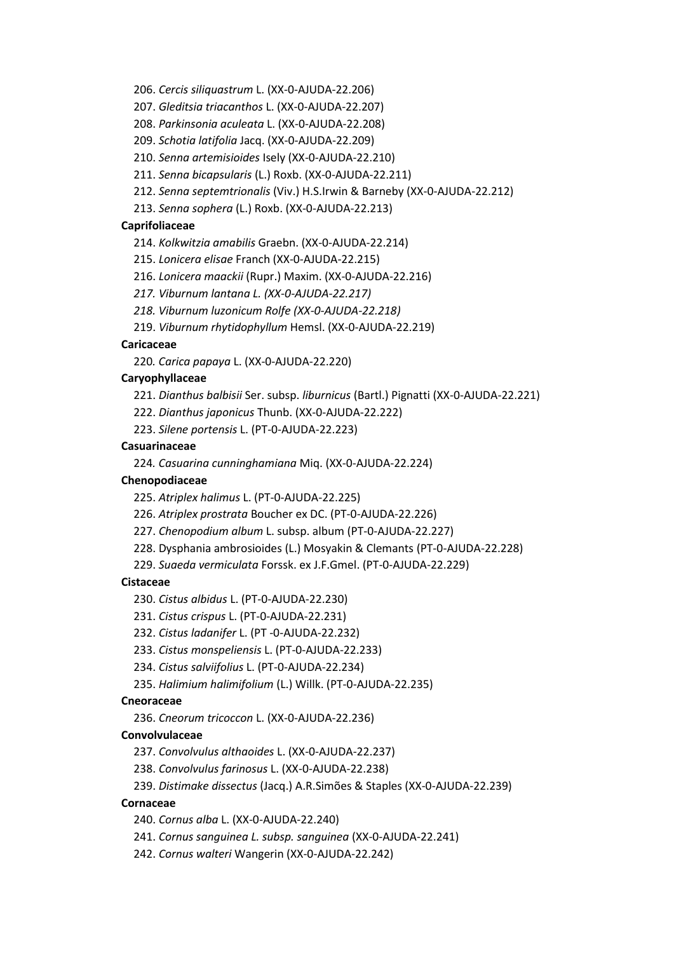206. *Cercis siliquastrum* L. (XX-0-AJUDA-22.206)

207. *Gleditsia triacanthos* L. (XX-0-AJUDA-22.207)

208. *Parkinsonia aculeata* L. (XX-0-AJUDA-22.208)

209. *Schotia latifolia* Jacq. (XX-0-AJUDA-22.209)

210. *Senna artemisioides* Isely (XX-0-AJUDA-22.210)

211. *Senna bicapsularis* (L.) Roxb. (XX-0-AJUDA-22.211)

212. *Senna septemtrionalis* (Viv.) H.S.Irwin & Barneby (XX-0-AJUDA-22.212)

213. *Senna sophera* (L.) Roxb. (XX-0-AJUDA-22.213)

#### **Caprifoliaceae**

214. *Kolkwitzia amabilis* Graebn. (XX-0-AJUDA-22.214)

215. *Lonicera elisae* Franch (XX-0-AJUDA-22.215)

216. *Lonicera maackii* (Rupr.) Maxim. (XX-0-AJUDA-22.216)

*217. Viburnum lantana L. (XX-0-AJUDA-22.217)*

*218. Viburnum luzonicum Rolfe (XX-0-AJUDA-22.218)*

219. *Viburnum rhytidophyllum* Hemsl. (XX-0-AJUDA-22.219)

# **Caricaceae**

220*. Carica papaya* L. (XX-0-AJUDA-22.220)

# **Caryophyllaceae**

221. *Dianthus balbisii* Ser. subsp. *liburnicus* (Bartl.) Pignatti (XX-0-AJUDA-22.221)

222. *Dianthus japonicus* Thunb. (XX-0-AJUDA-22.222)

223. *Silene portensis* L. (PT-0-AJUDA-22.223)

# **Casuarinaceae**

224*. Casuarina cunninghamiana* Miq. (XX-0-AJUDA-22.224)

# **Chenopodiaceae**

225. *Atriplex halimus* L. (PT-0-AJUDA-22.225)

226. *Atriplex prostrata* Boucher ex DC. (PT-0-AJUDA-22.226)

227. *Chenopodium album* L. subsp. album (PT-0-AJUDA-22.227)

228. Dysphania ambrosioides (L.) Mosyakin & Clemants (PT-0-AJUDA-22.228)

229. *Suaeda vermiculata* Forssk. ex J.F.Gmel. (PT-0-AJUDA-22.229)

# **Cistaceae**

230. *Cistus albidus* L. (PT-0-AJUDA-22.230)

231. *Cistus crispus* L. (PT-0-AJUDA-22.231)

232. *Cistus ladanifer* L. (PT -0-AJUDA-22.232)

233. *Cistus monspeliensis* L. (PT-0-AJUDA-22.233)

234. *Cistus salviifolius* L. (PT-0-AJUDA-22.234)

235. *Halimium halimifolium* (L.) Willk. (PT-0-AJUDA-22.235)

# **Cneoraceae**

236. *Cneorum tricoccon* L. (XX-0-AJUDA-22.236)

### **Convolvulaceae**

237. *Convolvulus althaoides* L. (XX-0-AJUDA-22.237)

238. *Convolvulus farinosus* L. (XX-0-AJUDA-22.238)

239. *Distimake dissectus* (Jacq.) A.R.Simões & Staples (XX-0-AJUDA-22.239)

# **Cornaceae**

240. *Cornus alba* L. (XX-0-AJUDA-22.240)

241. *Cornus sanguinea L. subsp. sanguinea* (XX-0-AJUDA-22.241)

242. *Cornus walteri* Wangerin (XX-0-AJUDA-22.242)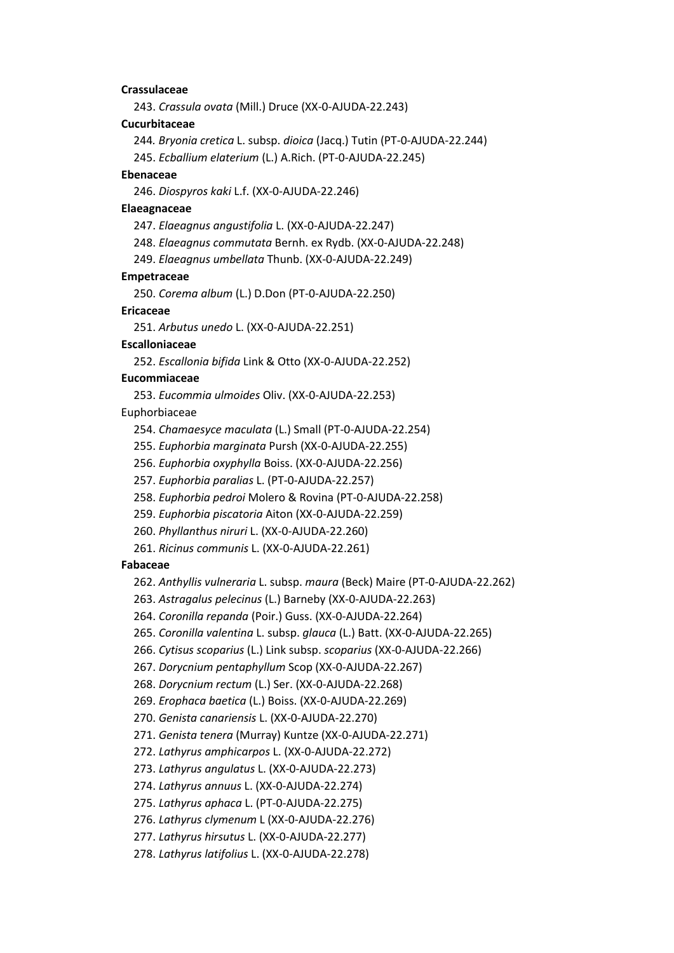# **Crassulaceae**

243. *Crassula ovata* (Mill.) Druce (XX-0-AJUDA-22.243)

### **Cucurbitaceae**

244*. Bryonia cretica* L. subsp. *dioica* (Jacq.) Tutin (PT-0-AJUDA-22.244)

245. *Ecballium elaterium* (L.) A.Rich. (PT-0-AJUDA-22.245)

#### **Ebenaceae**

246. *Diospyros kaki* L.f. (XX-0-AJUDA-22.246)

### **Elaeagnaceae**

247. *Elaeagnus angustifolia* L. (XX-0-AJUDA-22.247)

248. *Elaeagnus commutata* Bernh. ex Rydb. (XX-0-AJUDA-22.248)

249. *Elaeagnus umbellata* Thunb. (XX-0-AJUDA-22.249)

### **Empetraceae**

250. *Corema album* (L.) D.Don (PT-0-AJUDA-22.250)

# **Ericaceae**

251. *Arbutus unedo* L. (XX-0-AJUDA-22.251)

### **Escalloniaceae**

252. *Escallonia bifida* Link & Otto (XX-0-AJUDA-22.252)

### **Eucommiaceae**

253. *Eucommia ulmoides* Oliv. (XX-0-AJUDA-22.253)

Euphorbiaceae

254. *Chamaesyce maculata* (L.) Small (PT-0-AJUDA-22.254)

255. *Euphorbia marginata* Pursh (XX-0-AJUDA-22.255)

256. *Euphorbia oxyphylla* Boiss. (XX-0-AJUDA-22.256)

257. *Euphorbia paralias* L. (PT-0-AJUDA-22.257)

258. *Euphorbia pedroi* Molero & Rovina (PT-0-AJUDA-22.258)

259. *Euphorbia piscatoria* Aiton (XX-0-AJUDA-22.259)

- 260. *Phyllanthus niruri* L. (XX-0-AJUDA-22.260)
- 261. *Ricinus communis* L. (XX-0-AJUDA-22.261)

### **Fabaceae**

262. *Anthyllis vulneraria* L. subsp. *maura* (Beck) Maire (PT-0-AJUDA-22.262)

263. *Astragalus pelecinus* (L.) Barneby (XX-0-AJUDA-22.263)

264. *Coronilla repanda* (Poir.) Guss. (XX-0-AJUDA-22.264)

265. *Coronilla valentina* L. subsp. *glauca* (L.) Batt. (XX-0-AJUDA-22.265)

266. *Cytisus scoparius* (L.) Link subsp. *scoparius* (XX-0-AJUDA-22.266)

267. *Dorycnium pentaphyllum* Scop (XX-0-AJUDA-22.267)

268. *Dorycnium rectum* (L.) Ser. (XX-0-AJUDA-22.268)

269. *Erophaca baetica* (L.) Boiss. (XX-0-AJUDA-22.269)

270. *Genista canariensis* L. (XX-0-AJUDA-22.270)

271. *Genista tenera* (Murray) Kuntze (XX-0-AJUDA-22.271)

272. *Lathyrus amphicarpos* L. (XX-0-AJUDA-22.272)

273. *Lathyrus angulatus* L. (XX-0-AJUDA-22.273)

274. *Lathyrus annuus* L. (XX-0-AJUDA-22.274)

275. *Lathyrus aphaca* L. (PT-0-AJUDA-22.275)

276. *Lathyrus clymenum* L (XX-0-AJUDA-22.276)

277. *Lathyrus hirsutus* L. (XX-0-AJUDA-22.277)

278. *Lathyrus latifolius* L. (XX-0-AJUDA-22.278)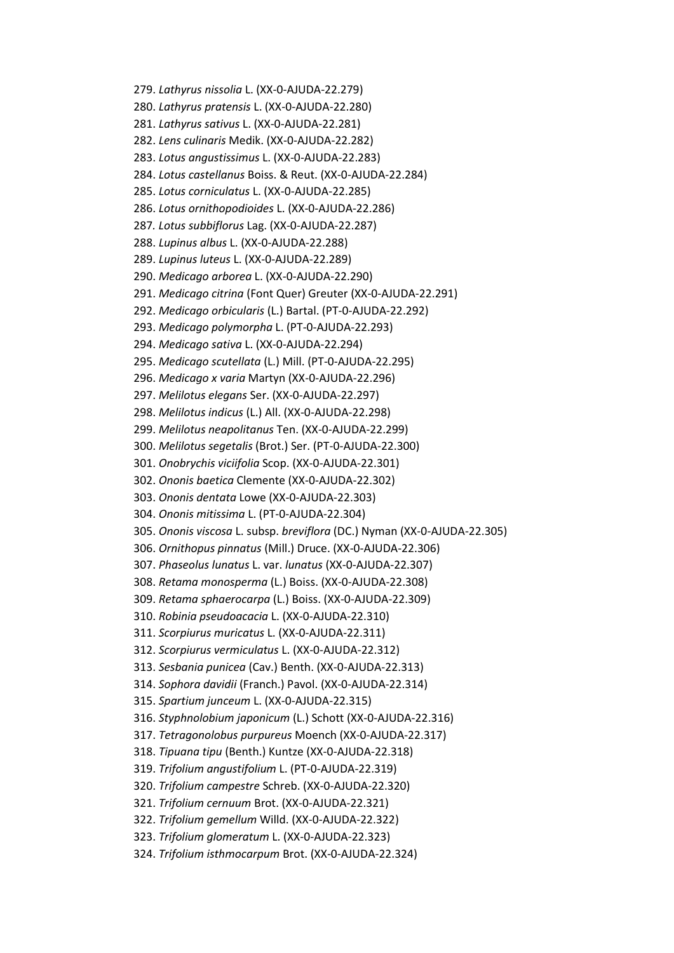279. *Lathyrus nissolia* L. (XX-0-AJUDA-22.279) 280. *Lathyrus pratensis* L. (XX-0-AJUDA-22.280) 281. *Lathyrus sativus* L. (XX-0-AJUDA-22.281) 282. *Lens culinaris* Medik. (XX-0-AJUDA-22.282) 283. *Lotus angustissimus* L. (XX-0-AJUDA-22.283) 284. *Lotus castellanus* Boiss. & Reut. (XX-0-AJUDA-22.284) 285. *Lotus corniculatus* L. (XX-0-AJUDA-22.285) 286. *Lotus ornithopodioides* L. (XX-0-AJUDA-22.286) 287*. Lotus subbiflorus* Lag. (XX-0-AJUDA-22.287) 288. *Lupinus albus* L. (XX-0-AJUDA-22.288) 289. *Lupinus luteus* L. (XX-0-AJUDA-22.289) 290. *Medicago arborea* L. (XX-0-AJUDA-22.290) 291. *Medicago citrina* (Font Quer) Greuter (XX-0-AJUDA-22.291) 292. *Medicago orbicularis* (L.) Bartal. (PT-0-AJUDA-22.292) 293. *Medicago polymorpha* L. (PT-0-AJUDA-22.293) 294. *Medicago sativa* L. (XX-0-AJUDA-22.294) 295. *Medicago scutellata* (L.) Mill. (PT-0-AJUDA-22.295) 296. *Medicago x varia* Martyn (XX-0-AJUDA-22.296) 297. *Melilotus elegans* Ser. (XX-0-AJUDA-22.297) 298. *Melilotus indicus* (L.) All. (XX-0-AJUDA-22.298) 299. *Melilotus neapolitanus* Ten. (XX-0-AJUDA-22.299) 300. *Melilotus segetalis* (Brot.) Ser. (PT-0-AJUDA-22.300) 301. *Onobrychis viciifolia* Scop. (XX-0-AJUDA-22.301) 302. *Ononis baetica* Clemente (XX-0-AJUDA-22.302) 303. *Ononis dentata* Lowe (XX-0-AJUDA-22.303) 304. *Ononis mitissima* L. (PT-0-AJUDA-22.304) 305. *Ononis viscosa* L. subsp. *breviflora* (DC.) Nyman (XX-0-AJUDA-22.305) 306. *Ornithopus pinnatus* (Mill.) Druce. (XX-0-AJUDA-22.306) 307. *Phaseolus lunatus* L. var. *lunatus* (XX-0-AJUDA-22.307) 308. *Retama monosperma* (L.) Boiss. (XX-0-AJUDA-22.308) 309. *Retama sphaerocarpa* (L.) Boiss. (XX-0-AJUDA-22.309) 310. *Robinia pseudoacacia* L. (XX-0-AJUDA-22.310) 311. *Scorpiurus muricatus* L. (XX-0-AJUDA-22.311) 312. *Scorpiurus vermiculatus* L. (XX-0-AJUDA-22.312) 313. *Sesbania punicea* (Cav.) Benth. (XX-0-AJUDA-22.313) 314. *Sophora davidii* (Franch.) Pavol. (XX-0-AJUDA-22.314) 315. *Spartium junceum* L. (XX-0-AJUDA-22.315) 316. *Styphnolobium japonicum* (L.) Schott (XX-0-AJUDA-22.316) 317. *Tetragonolobus purpureus* Moench (XX-0-AJUDA-22.317) 318. *Tipuana tipu* (Benth.) Kuntze (XX-0-AJUDA-22.318) 319. *Trifolium angustifolium* L. (PT-0-AJUDA-22.319) 320. *Trifolium campestre* Schreb. (XX-0-AJUDA-22.320) 321. *Trifolium cernuum* Brot. (XX-0-AJUDA-22.321) 322. *Trifolium gemellum* Willd. (XX-0-AJUDA-22.322) 323. *Trifolium glomeratum* L. (XX-0-AJUDA-22.323) 324. *Trifolium isthmocarpum* Brot. (XX-0-AJUDA-22.324)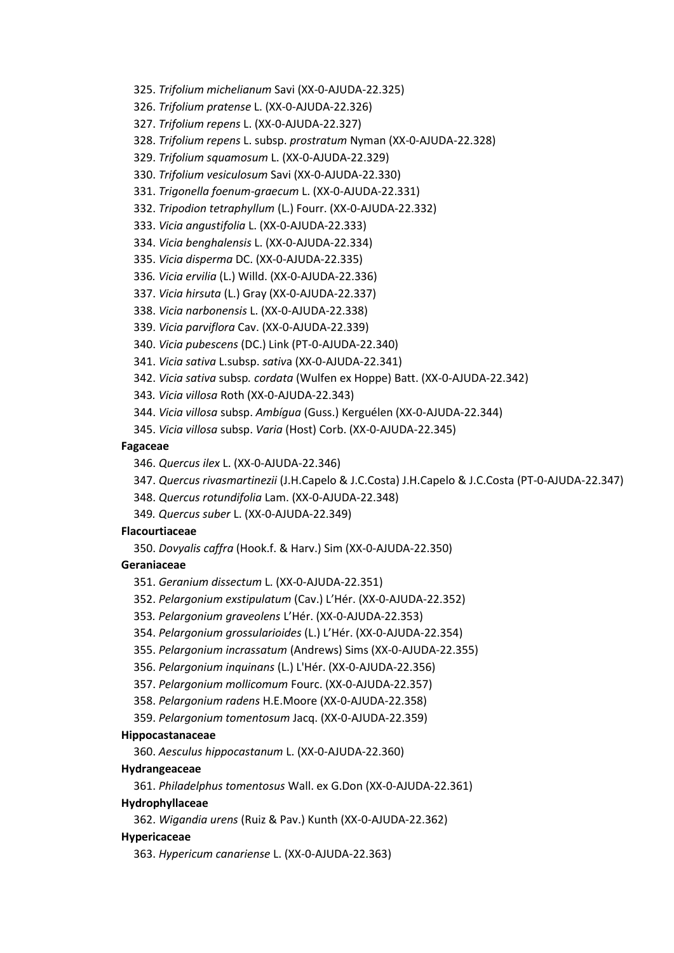325. *Trifolium michelianum* Savi (XX-0-AJUDA-22.325)

326. *Trifolium pratense* L. (XX-0-AJUDA-22.326)

327. *Trifolium repens* L. (XX-0-AJUDA-22.327)

328. *Trifolium repens* L. subsp. *prostratum* Nyman (XX-0-AJUDA-22.328)

329. *Trifolium squamosum* L. (XX-0-AJUDA-22.329)

330. *Trifolium vesiculosum* Savi (XX-0-AJUDA-22.330)

331. *Trigonella foenum-graecum* L. (XX-0-AJUDA-22.331)

332. *Tripodion tetraphyllum* (L.) Fourr. (XX-0-AJUDA-22.332)

333. *Vicia angustifolia* L. (XX-0-AJUDA-22.333)

334. *Vicia benghalensis* L. (XX-0-AJUDA-22.334)

335. *Vicia disperma* DC. (XX-0-AJUDA-22.335)

336*. Vicia ervilia* (L.) Willd. (XX-0-AJUDA-22.336)

337. *Vicia hirsuta* (L.) Gray (XX-0-AJUDA-22.337)

338. *Vicia narbonensis* L. (XX-0-AJUDA-22.338)

339. *Vicia parviflora* Cav. (XX-0-AJUDA-22.339)

340. *Vicia pubescens* (DC.) Link (PT-0-AJUDA-22.340)

341. *Vicia sativa* L.subsp. *sativ*a (XX-0-AJUDA-22.341)

342. *Vicia sativa* subsp*. cordata* (Wulfen ex Hoppe) Batt. (XX-0-AJUDA-22.342)

343*. Vicia villosa* Roth (XX-0-AJUDA-22.343)

344. *Vicia villosa* subsp. *Ambígua* (Guss.) Kerguélen (XX-0-AJUDA-22.344)

345. *Vicia villosa* subsp. *Varia* (Host) Corb. (XX-0-AJUDA-22.345)

### **Fagaceae**

346. *Quercus ilex* L. (XX-0-AJUDA-22.346)

347. *Quercus rivasmartinezii* (J.H.Capelo & J.C.Costa) J.H.Capelo & J.C.Costa (PT-0-AJUDA-22.347)

348. *Quercus rotundifolia* Lam. (XX-0-AJUDA-22.348)

349*. Quercus suber* L. (XX-0-AJUDA-22.349)

# **Flacourtiaceae**

350. *Dovyalis caffra* (Hook.f. & Harv.) Sim (XX-0-AJUDA-22.350)

# **Geraniaceae**

351. *Geranium dissectum* L. (XX-0-AJUDA-22.351)

352. *Pelargonium exstipulatum* (Cav.) L'Hér. (XX-0-AJUDA-22.352)

353*. Pelargonium graveolens* L'Hér. (XX-0-AJUDA-22.353)

354. *Pelargonium grossularioides* (L.) L'Hér. (XX-0-AJUDA-22.354)

355. *Pelargonium incrassatum* (Andrews) Sims (XX-0-AJUDA-22.355)

356. *Pelargonium inquinans* (L.) L'Hér. (XX-0-AJUDA-22.356)

357. *Pelargonium mollicomum* Fourc. (XX-0-AJUDA-22.357)

358. *Pelargonium radens* H.E.Moore (XX-0-AJUDA-22.358)

359. *Pelargonium tomentosum* Jacq. (XX-0-AJUDA-22.359)

### **Hippocastanaceae**

360. *Aesculus hippocastanum* L. (XX-0-AJUDA-22.360)

### **Hydrangeaceae**

361. *Philadelphus tomentosus* Wall. ex G.Don (XX-0-AJUDA-22.361)

# **Hydrophyllaceae**

362. *Wigandia urens* (Ruiz & Pav.) Kunth (XX-0-AJUDA-22.362)

# **Hypericaceae**

363. *Hypericum canariense* L. (XX-0-AJUDA-22.363)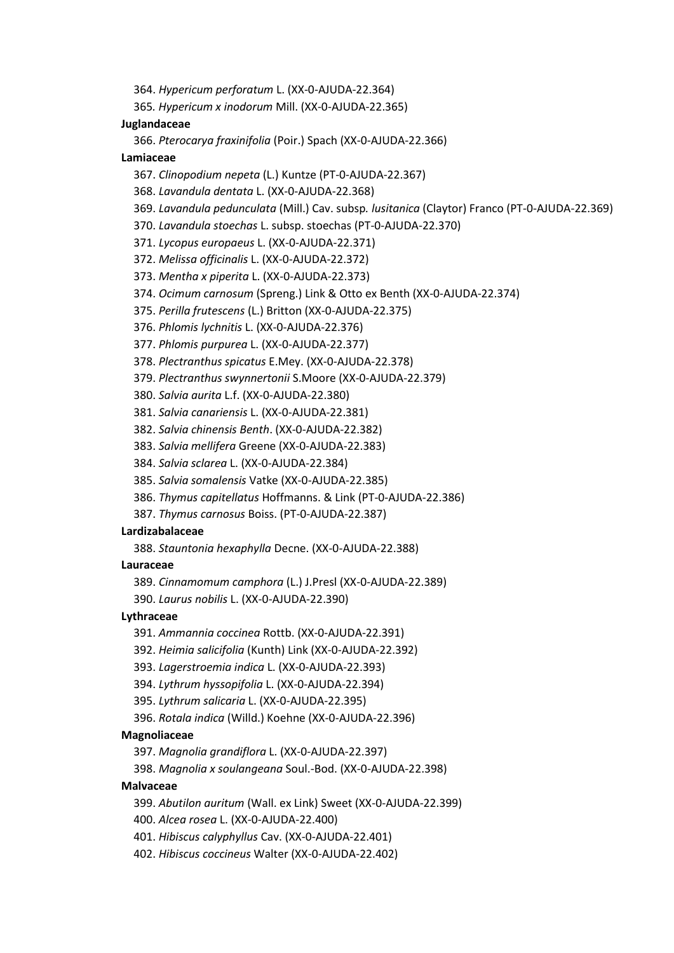364. *Hypericum perforatum* L. (XX-0-AJUDA-22.364)

365*. Hypericum x inodorum* Mill. (XX-0-AJUDA-22.365)

### **Juglandaceae**

366. *Pterocarya fraxinifolia* (Poir.) Spach (XX-0-AJUDA-22.366)

# **Lamiaceae**

367. *Clinopodium nepeta* (L.) Kuntze (PT-0-AJUDA-22.367)

368. *Lavandula dentata* L. (XX-0-AJUDA-22.368)

369. *Lavandula pedunculata* (Mill.) Cav. subsp*. lusitanica* (Claytor) Franco (PT-0-AJUDA-22.369)

370. *Lavandula stoechas* L. subsp. stoechas (PT-0-AJUDA-22.370)

371. *Lycopus europaeus* L. (XX-0-AJUDA-22.371)

372. *Melissa officinalis* L. (XX-0-AJUDA-22.372)

373. *Mentha x piperita* L. (XX-0-AJUDA-22.373)

374. *Ocimum carnosum* (Spreng.) Link & Otto ex Benth (XX-0-AJUDA-22.374)

375. *Perilla frutescens* (L.) Britton (XX-0-AJUDA-22.375)

376. *Phlomis lychnitis* L. (XX-0-AJUDA-22.376)

377. *Phlomis purpurea* L. (XX-0-AJUDA-22.377)

378. *Plectranthus spicatus* E.Mey. (XX-0-AJUDA-22.378)

379. *Plectranthus swynnertonii* S.Moore (XX-0-AJUDA-22.379)

380. *Salvia aurita* L.f. (XX-0-AJUDA-22.380)

381. *Salvia canariensis* L. (XX-0-AJUDA-22.381)

382. *Salvia chinensis Benth*. (XX-0-AJUDA-22.382)

383. *Salvia mellifera* Greene (XX-0-AJUDA-22.383)

384. *Salvia sclarea* L. (XX-0-AJUDA-22.384)

385. *Salvia somalensis* Vatke (XX-0-AJUDA-22.385)

386. *Thymus capitellatus* Hoffmanns. & Link (PT-0-AJUDA-22.386)

387. *Thymus carnosus* Boiss. (PT-0-AJUDA-22.387)

# **Lardizabalaceae**

388. *Stauntonia hexaphylla* Decne. (XX-0-AJUDA-22.388)

# **Lauraceae**

389. *Cinnamomum camphora* (L.) J.Presl (XX-0-AJUDA-22.389)

390. *Laurus nobilis* L. (XX-0-AJUDA-22.390)

# **Lythraceae**

391. *Ammannia coccinea* Rottb. (XX-0-AJUDA-22.391)

392. *Heimia salicifolia* (Kunth) Link (XX-0-AJUDA-22.392)

393. *Lagerstroemia indica* L. (XX-0-AJUDA-22.393)

394. *Lythrum hyssopifolia* L. (XX-0-AJUDA-22.394)

395. *Lythrum salicaria* L. (XX-0-AJUDA-22.395)

396. *Rotala indica* (Willd.) Koehne (XX-0-AJUDA-22.396)

#### **Magnoliaceae**

397. *Magnolia grandiflora* L. (XX-0-AJUDA-22.397)

398. *Magnolia x soulangeana* Soul.-Bod. (XX-0-AJUDA-22.398)

# **Malvaceae**

399. *Abutilon auritum* (Wall. ex Link) Sweet (XX-0-AJUDA-22.399)

400. *Alcea rosea* L. (XX-0-AJUDA-22.400)

401. *Hibiscus calyphyllus* Cav. (XX-0-AJUDA-22.401)

402. *Hibiscus coccineus* Walter (XX-0-AJUDA-22.402)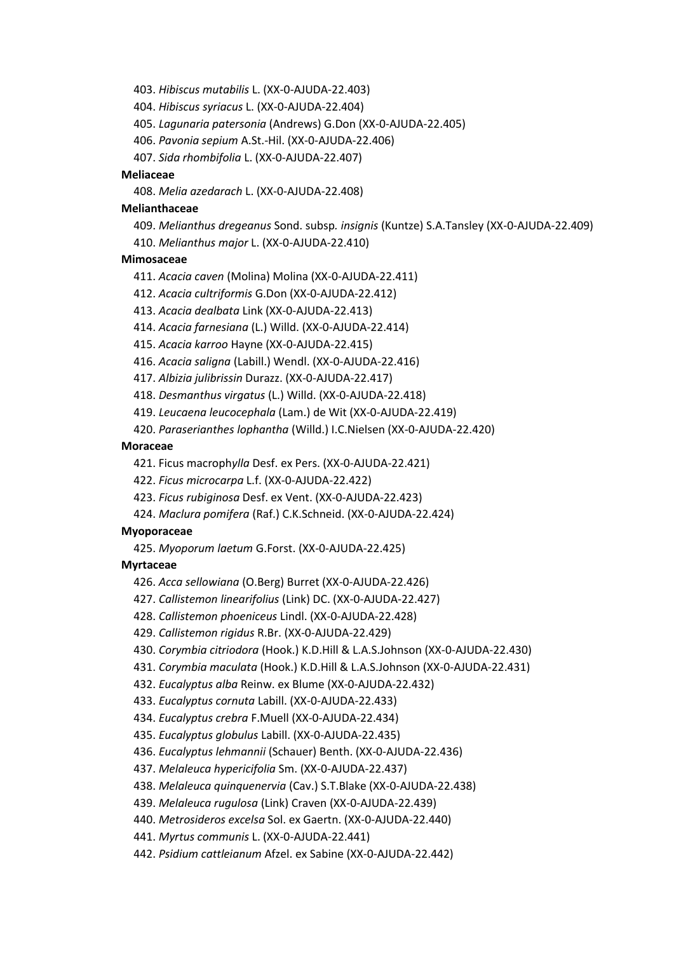403. *Hibiscus mutabilis* L. (XX-0-AJUDA-22.403)

404. *Hibiscus syriacus* L. (XX-0-AJUDA-22.404)

405. *Lagunaria patersonia* (Andrews) G.Don (XX-0-AJUDA-22.405)

406. *Pavonia sepium* A.St.-Hil. (XX-0-AJUDA-22.406)

407. *Sida rhombifolia* L. (XX-0-AJUDA-22.407)

### **Meliaceae**

408. *Melia azedarach* L. (XX-0-AJUDA-22.408)

# **Melianthaceae**

409. *Melianthus dregeanus* Sond. subsp*. insignis* (Kuntze) S.A.Tansley (XX-0-AJUDA-22.409)

410. *Melianthus major* L. (XX-0-AJUDA-22.410)

### **Mimosaceae**

411. *Acacia caven* (Molina) Molina (XX-0-AJUDA-22.411)

412. *Acacia cultriformis* G.Don (XX-0-AJUDA-22.412)

413. *Acacia dealbata* Link (XX-0-AJUDA-22.413)

414. *Acacia farnesiana* (L.) Willd. (XX-0-AJUDA-22.414)

415. *Acacia karroo* Hayne (XX-0-AJUDA-22.415)

416. *Acacia saligna* (Labill.) Wendl. (XX-0-AJUDA-22.416)

417. *Albizia julibrissin* Durazz. (XX-0-AJUDA-22.417)

418. *Desmanthus virgatus* (L.) Willd. (XX-0-AJUDA-22.418)

419. *Leucaena leucocephala* (Lam.) de Wit (XX-0-AJUDA-22.419)

420. *Paraserianthes lophantha* (Willd.) I.C.Nielsen (XX-0-AJUDA-22.420)

### **Moraceae**

421. Ficus macroph*ylla* Desf. ex Pers. (XX-0-AJUDA-22.421)

422. *Ficus microcarpa* L.f. (XX-0-AJUDA-22.422)

423. *Ficus rubiginosa* Desf. ex Vent. (XX-0-AJUDA-22.423)

424. *Maclura pomifera* (Raf.) C.K.Schneid. (XX-0-AJUDA-22.424)

### **Myoporaceae**

425. *Myoporum laetum* G.Forst. (XX-0-AJUDA-22.425)

# **Myrtaceae**

426. *Acca sellowiana* (O.Berg) Burret (XX-0-AJUDA-22.426)

427. *Callistemon linearifolius* (Link) DC. (XX-0-AJUDA-22.427)

428. *Callistemon phoeniceus* Lindl. (XX-0-AJUDA-22.428)

429. *Callistemon rigidus* R.Br. (XX-0-AJUDA-22.429)

430. *Corymbia citriodora* (Hook.) K.D.Hill & L.A.S.Johnson (XX-0-AJUDA-22.430)

431. *Corymbia maculata* (Hook.) K.D.Hill & L.A.S.Johnson (XX-0-AJUDA-22.431)

432. *Eucalyptus alba* Reinw. ex Blume (XX-0-AJUDA-22.432)

433. *Eucalyptus cornuta* Labill. (XX-0-AJUDA-22.433)

434. *Eucalyptus crebra* F.Muell (XX-0-AJUDA-22.434)

435. *Eucalyptus globulus* Labill. (XX-0-AJUDA-22.435)

436. *Eucalyptus lehmannii* (Schauer) Benth. (XX-0-AJUDA-22.436)

437. *Melaleuca hypericifolia* Sm. (XX-0-AJUDA-22.437)

438. *Melaleuca quinquenervia* (Cav.) S.T.Blake (XX-0-AJUDA-22.438)

439. *Melaleuca rugulosa* (Link) Craven (XX-0-AJUDA-22.439)

440. *Metrosideros excelsa* Sol. ex Gaertn. (XX-0-AJUDA-22.440)

441. *Myrtus communis* L. (XX-0-AJUDA-22.441)

442. *Psidium cattleianum* Afzel. ex Sabine (XX-0-AJUDA-22.442)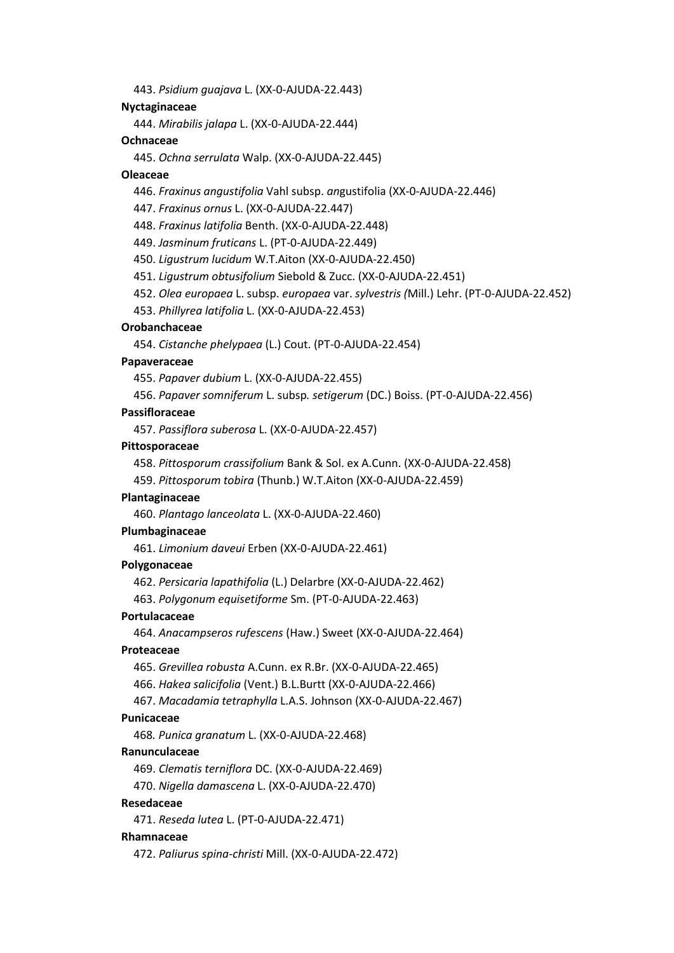443. *Psidium guajava* L. (XX-0-AJUDA-22.443)

# **Nyctaginaceae**

444. *Mirabilis jalapa* L. (XX-0-AJUDA-22.444)

### **Ochnaceae**

445. *Ochna serrulata* Walp. (XX-0-AJUDA-22.445)

#### **Oleaceae**

446. *Fraxinus angustifolia* Vahl subsp. *an*gustifolia (XX-0-AJUDA-22.446)

447. *Fraxinus ornus* L. (XX-0-AJUDA-22.447)

448. *Fraxinus latifolia* Benth. (XX-0-AJUDA-22.448)

449. *Jasminum fruticans* L. (PT-0-AJUDA-22.449)

450. *Ligustrum lucidum* W.T.Aiton (XX-0-AJUDA-22.450)

451. *Ligustrum obtusifolium* Siebold & Zucc. (XX-0-AJUDA-22.451)

452. *Olea europaea* L. subsp. *europaea* var. *sylvestris (*Mill.) Lehr. (PT-0-AJUDA-22.452)

453. *Phillyrea latifolia* L. (XX-0-AJUDA-22.453)

# **Orobanchaceae**

454. *Cistanche phelypaea* (L.) Cout. (PT-0-AJUDA-22.454)

### **Papaveraceae**

455. *Papaver dubium* L. (XX-0-AJUDA-22.455)

456. *Papaver somniferum* L. subsp*. setigerum* (DC.) Boiss. (PT-0-AJUDA-22.456)

#### **Passifloraceae**

457. *Passiflora suberosa* L. (XX-0-AJUDA-22.457)

# **Pittosporaceae**

458. *Pittosporum crassifolium* Bank & Sol. ex A.Cunn. (XX-0-AJUDA-22.458)

459. *Pittosporum tobira* (Thunb.) W.T.Aiton (XX-0-AJUDA-22.459)

### **Plantaginaceae**

460. *Plantago lanceolata* L. (XX-0-AJUDA-22.460)

# **Plumbaginaceae**

461. *Limonium daveui* Erben (XX-0-AJUDA-22.461)

# **Polygonaceae**

462. *Persicaria lapathifolia* (L.) Delarbre (XX-0-AJUDA-22.462)

463. *Polygonum equisetiforme* Sm. (PT-0-AJUDA-22.463)

### **Portulacaceae**

464. *Anacampseros rufescens* (Haw.) Sweet (XX-0-AJUDA-22.464)

# **Proteaceae**

465. *Grevillea robusta* A.Cunn. ex R.Br. (XX-0-AJUDA-22.465)

466. *Hakea salicifolia* (Vent.) B.L.Burtt (XX-0-AJUDA-22.466)

467. *Macadamia tetraphylla* L.A.S. Johnson (XX-0-AJUDA-22.467)

#### **Punicaceae**

468*. Punica granatum* L. (XX-0-AJUDA-22.468)

#### **Ranunculaceae**

469. *Clematis terniflora* DC. (XX-0-AJUDA-22.469)

470. *Nigella damascena* L. (XX-0-AJUDA-22.470)

### **Resedaceae**

471. *Reseda lutea* L. (PT-0-AJUDA-22.471)

## **Rhamnaceae**

472. *Paliurus spina-christi* Mill. (XX-0-AJUDA-22.472)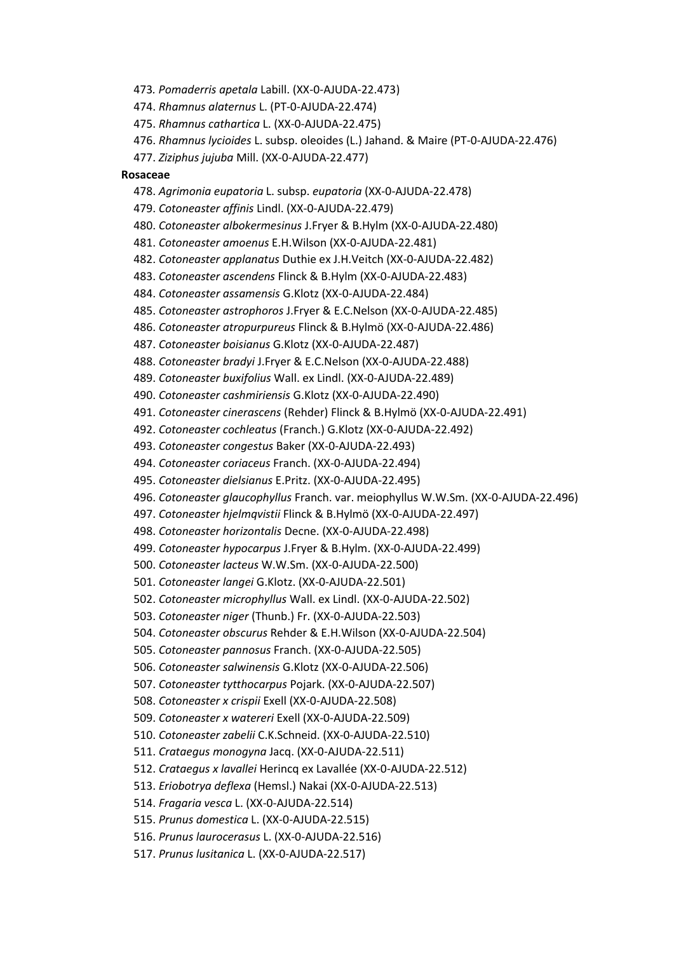473*. Pomaderris apetala* Labill. (XX-0-AJUDA-22.473)

474. *Rhamnus alaternus* L. (PT-0-AJUDA-22.474)

475. *Rhamnus cathartica* L. (XX-0-AJUDA-22.475)

476. *Rhamnus lycioides* L. subsp. oleoides (L.) Jahand. & Maire (PT-0-AJUDA-22.476)

477. *Ziziphus jujuba* Mill. (XX-0-AJUDA-22.477)

### **Rosaceae**

478. *Agrimonia eupatoria* L. subsp. *eupatoria* (XX-0-AJUDA-22.478)

479. *Cotoneaster affinis* Lindl. (XX-0-AJUDA-22.479)

480. *Cotoneaster albokermesinus* J.Fryer & B.Hylm (XX-0-AJUDA-22.480)

481. *Cotoneaster amoenus* E.H.Wilson (XX-0-AJUDA-22.481)

482. *Cotoneaster applanatus* Duthie ex J.H.Veitch (XX-0-AJUDA-22.482)

483. *Cotoneaster ascendens* Flinck & B.Hylm (XX-0-AJUDA-22.483)

484. *Cotoneaster assamensis* G.Klotz (XX-0-AJUDA-22.484)

485. *Cotoneaster astrophoros* J.Fryer & E.C.Nelson (XX-0-AJUDA-22.485)

486. *Cotoneaster atropurpureus* Flinck & B.Hylmö (XX-0-AJUDA-22.486)

487. *Cotoneaster boisianus* G.Klotz (XX-0-AJUDA-22.487)

488. *Cotoneaster bradyi* J.Fryer & E.C.Nelson (XX-0-AJUDA-22.488)

489. *Cotoneaster buxifolius* Wall. ex Lindl. (XX-0-AJUDA-22.489)

490. *Cotoneaster cashmiriensis* G.Klotz (XX-0-AJUDA-22.490)

491. *Cotoneaster cinerascens* (Rehder) Flinck & B.Hylmö (XX-0-AJUDA-22.491)

492. *Cotoneaster cochleatus* (Franch.) G.Klotz (XX-0-AJUDA-22.492)

493. *Cotoneaster congestus* Baker (XX-0-AJUDA-22.493)

494. *Cotoneaster coriaceus* Franch. (XX-0-AJUDA-22.494)

495. *Cotoneaster dielsianus* E.Pritz. (XX-0-AJUDA-22.495)

496. *Cotoneaster glaucophyllus* Franch. var. meiophyllus W.W.Sm. (XX-0-AJUDA-22.496)

497. *Cotoneaster hjelmqvistii* Flinck & B.Hylmö (XX-0-AJUDA-22.497)

498. *Cotoneaster horizontalis* Decne. (XX-0-AJUDA-22.498)

499. *Cotoneaster hypocarpus* J.Fryer & B.Hylm. (XX-0-AJUDA-22.499)

500. *Cotoneaster lacteus* W.W.Sm. (XX-0-AJUDA-22.500)

501. *Cotoneaster langei* G.Klotz. (XX-0-AJUDA-22.501)

502. *Cotoneaster microphyllus* Wall. ex Lindl. (XX-0-AJUDA-22.502)

503. *Cotoneaster niger* (Thunb.) Fr. (XX-0-AJUDA-22.503)

504. *Cotoneaster obscurus* Rehder & E.H.Wilson (XX-0-AJUDA-22.504)

505. *Cotoneaster pannosus* Franch. (XX-0-AJUDA-22.505)

506. *Cotoneaster salwinensis* G.Klotz (XX-0-AJUDA-22.506)

507. *Cotoneaster tytthocarpus* Pojark. (XX-0-AJUDA-22.507)

508. *Cotoneaster x crispii* Exell (XX-0-AJUDA-22.508)

509. *Cotoneaster x watereri* Exell (XX-0-AJUDA-22.509)

510. *Cotoneaster zabelii* C.K.Schneid. (XX-0-AJUDA-22.510)

511. *Crataegus monogyna* Jacq. (XX-0-AJUDA-22.511)

512. *Crataegus x lavallei* Herincq ex Lavallée (XX-0-AJUDA-22.512)

513. *Eriobotrya deflexa* (Hemsl.) Nakai (XX-0-AJUDA-22.513)

514. *Fragaria vesca* L. (XX-0-AJUDA-22.514)

515. *Prunus domestica* L. (XX-0-AJUDA-22.515)

516. *Prunus laurocerasus* L. (XX-0-AJUDA-22.516)

517. *Prunus lusitanica* L. (XX-0-AJUDA-22.517)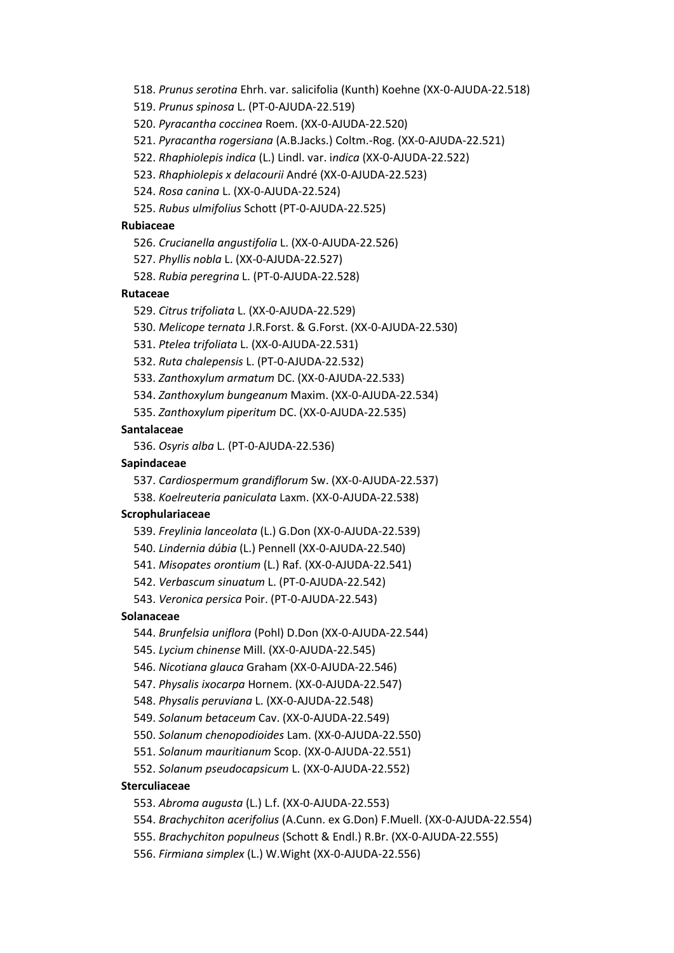518. *Prunus serotina* Ehrh. var. salicifolia (Kunth) Koehne (XX-0-AJUDA-22.518)

519. *Prunus spinosa* L. (PT-0-AJUDA-22.519)

520. *Pyracantha coccinea* Roem. (XX-0-AJUDA-22.520)

521. *Pyracantha rogersiana* (A.B.Jacks.) Coltm.-Rog. (XX-0-AJUDA-22.521)

522. *Rhaphiolepis indica* (L.) Lindl. var. i*ndica* (XX-0-AJUDA-22.522)

523. *Rhaphiolepis x delacourii* André (XX-0-AJUDA-22.523)

524. *Rosa canina* L. (XX-0-AJUDA-22.524)

525. *Rubus ulmifolius* Schott (PT-0-AJUDA-22.525)

### **Rubiaceae**

526. *Crucianella angustifolia* L. (XX-0-AJUDA-22.526)

527. *Phyllis nobla* L. (XX-0-AJUDA-22.527)

528. *Rubia peregrina* L. (PT-0-AJUDA-22.528)

# **Rutaceae**

529. *Citrus trifoliata* L. (XX-0-AJUDA-22.529)

530. *Melicope ternata* J.R.Forst. & G.Forst. (XX-0-AJUDA-22.530)

531. *Ptelea trifoliata* L. (XX-0-AJUDA-22.531)

532. *Ruta chalepensis* L. (PT-0-AJUDA-22.532)

533. *Zanthoxylum armatum* DC. (XX-0-AJUDA-22.533)

534. *Zanthoxylum bungeanum* Maxim. (XX-0-AJUDA-22.534)

535. *Zanthoxylum piperitum* DC. (XX-0-AJUDA-22.535)

### **Santalaceae**

536. *Osyris alba* L. (PT-0-AJUDA-22.536)

# **Sapindaceae**

537. *Cardiospermum grandiflorum* Sw. (XX-0-AJUDA-22.537)

538. *Koelreuteria paniculata* Laxm. (XX-0-AJUDA-22.538)

## **Scrophulariaceae**

539. *Freylinia lanceolata* (L.) G.Don (XX-0-AJUDA-22.539)

540. *Lindernia dúbia* (L.) Pennell (XX-0-AJUDA-22.540)

541. *Misopates orontium* (L.) Raf. (XX-0-AJUDA-22.541)

542. *Verbascum sinuatum* L. (PT-0-AJUDA-22.542)

543. *Veronica persica* Poir. (PT-0-AJUDA-22.543)

### **Solanaceae**

544. *Brunfelsia uniflora* (Pohl) D.Don (XX-0-AJUDA-22.544)

545. *Lycium chinense* Mill. (XX-0-AJUDA-22.545)

546. *Nicotiana glauca* Graham (XX-0-AJUDA-22.546)

547. *Physalis ixocarpa* Hornem. (XX-0-AJUDA-22.547)

548. *Physalis peruviana* L. (XX-0-AJUDA-22.548)

549. *Solanum betaceum* Cav. (XX-0-AJUDA-22.549)

550. *Solanum chenopodioides* Lam. (XX-0-AJUDA-22.550)

551. *Solanum mauritianum* Scop. (XX-0-AJUDA-22.551)

552. *Solanum pseudocapsicum* L. (XX-0-AJUDA-22.552)

# **Sterculiaceae**

553. *Abroma augusta* (L.) L.f. (XX-0-AJUDA-22.553)

554. *Brachychiton acerifolius* (A.Cunn. ex G.Don) F.Muell. (XX-0-AJUDA-22.554)

555. *Brachychiton populneus* (Schott & Endl.) R.Br. (XX-0-AJUDA-22.555)

556. *Firmiana simplex* (L.) W.Wight (XX-0-AJUDA-22.556)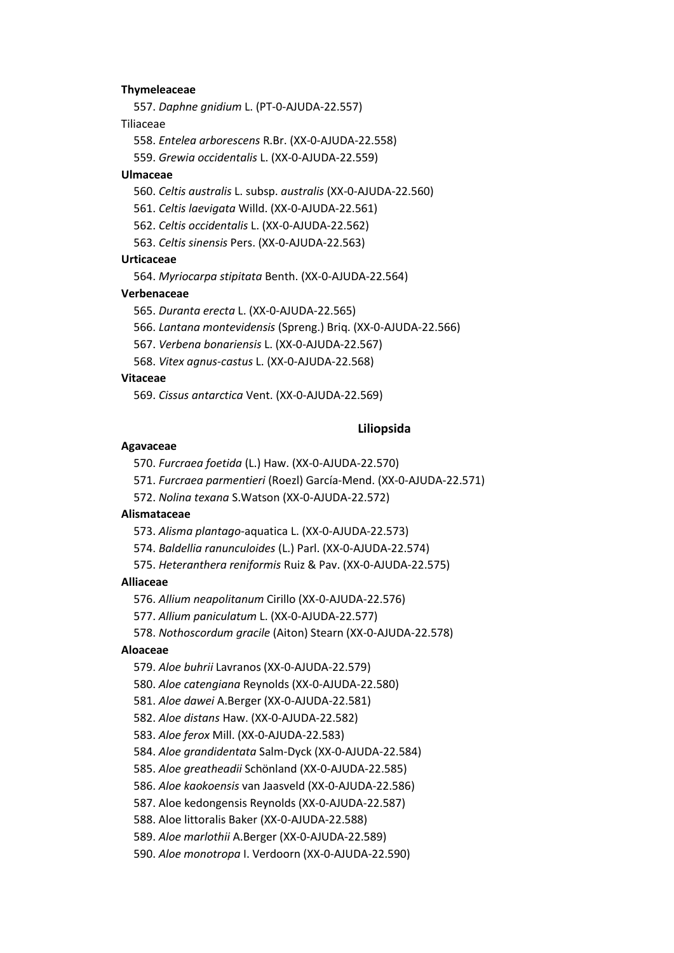# **Thymeleaceae**

557. *Daphne gnidium* L. (PT-0-AJUDA-22.557)

#### Tiliaceae

558. *Entelea arborescens* R.Br. (XX-0-AJUDA-22.558)

559. *Grewia occidentalis* L. (XX-0-AJUDA-22.559)

#### **Ulmaceae**

560. *Celtis australis* L. subsp. *australis* (XX-0-AJUDA-22.560)

561. *Celtis laevigata* Willd. (XX-0-AJUDA-22.561)

562. *Celtis occidentalis* L. (XX-0-AJUDA-22.562)

563. *Celtis sinensis* Pers. (XX-0-AJUDA-22.563)

#### **Urticaceae**

564. *Myriocarpa stipitata* Benth. (XX-0-AJUDA-22.564)

### **Verbenaceae**

565. *Duranta erecta* L. (XX-0-AJUDA-22.565)

566. *Lantana montevidensis* (Spreng.) Briq. (XX-0-AJUDA-22.566)

567. *Verbena bonariensis* L. (XX-0-AJUDA-22.567)

568. *Vitex agnus-castus* L. (XX-0-AJUDA-22.568)

### **Vitaceae**

569. *Cissus antarctica* Vent. (XX-0-AJUDA-22.569)

### **Liliopsida**

#### **Agavaceae**

570. *Furcraea foetida* (L.) Haw. (XX-0-AJUDA-22.570)

571. *Furcraea parmentieri* (Roezl) García-Mend. (XX-0-AJUDA-22.571)

572. *Nolina texana* S.Watson (XX-0-AJUDA-22.572)

### **Alismataceae**

573. *Alisma plantago*-aquatica L. (XX-0-AJUDA-22.573)

574. *Baldellia ranunculoides* (L.) Parl. (XX-0-AJUDA-22.574)

575. *Heteranthera reniformis* Ruiz & Pav. (XX-0-AJUDA-22.575)

# **Alliaceae**

576. *Allium neapolitanum* Cirillo (XX-0-AJUDA-22.576)

577. *Allium paniculatum* L. (XX-0-AJUDA-22.577)

578. *Nothoscordum gracile* (Aiton) Stearn (XX-0-AJUDA-22.578)

# **Aloaceae**

579. *Aloe buhrii* Lavranos (XX-0-AJUDA-22.579)

580. *Aloe catengiana* Reynolds (XX-0-AJUDA-22.580)

581. *Aloe dawei* A.Berger (XX-0-AJUDA-22.581)

582. *Aloe distans* Haw. (XX-0-AJUDA-22.582)

583. *Aloe ferox* Mill. (XX-0-AJUDA-22.583)

584. *Aloe grandidentata* Salm-Dyck (XX-0-AJUDA-22.584)

585. *Aloe greatheadii* Schönland (XX-0-AJUDA-22.585)

586. *Aloe kaokoensis* van Jaasveld (XX-0-AJUDA-22.586)

587. Aloe kedongensis Reynolds (XX-0-AJUDA-22.587)

588. Aloe littoralis Baker (XX-0-AJUDA-22.588)

589. *Aloe marlothii* A.Berger (XX-0-AJUDA-22.589)

590. *Aloe monotropa* I. Verdoorn (XX-0-AJUDA-22.590)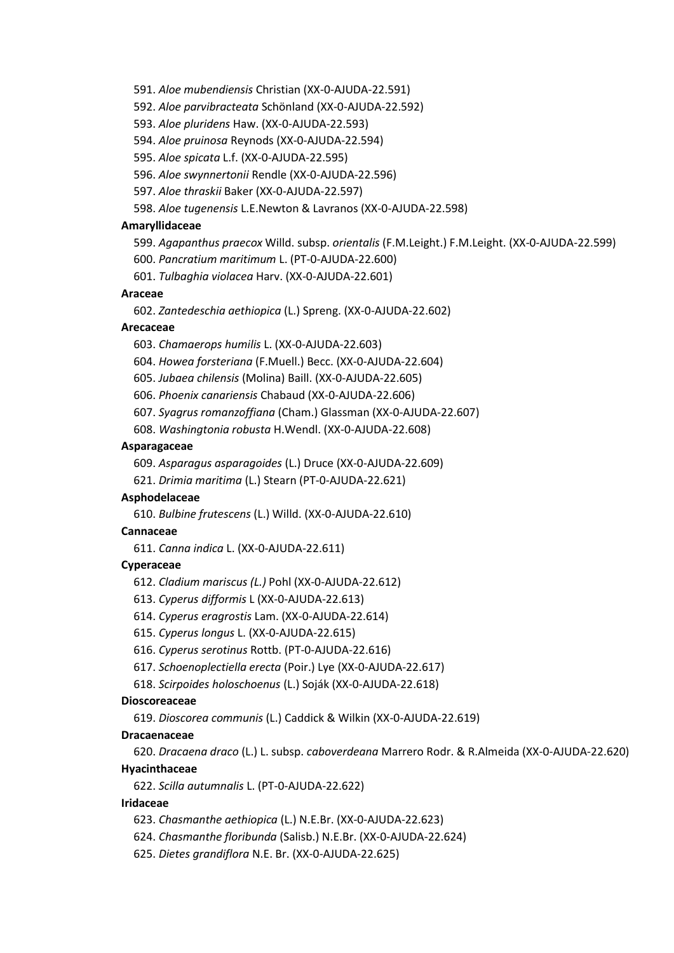591. *Aloe mubendiensis* Christian (XX-0-AJUDA-22.591)

592. *Aloe parvibracteata* Schönland (XX-0-AJUDA-22.592)

593. *Aloe pluridens* Haw. (XX-0-AJUDA-22.593)

594. *Aloe pruinosa* Reynods (XX-0-AJUDA-22.594)

595. *Aloe spicata* L.f. (XX-0-AJUDA-22.595)

596. *Aloe swynnertonii* Rendle (XX-0-AJUDA-22.596)

597. *Aloe thraskii* Baker (XX-0-AJUDA-22.597)

598. *Aloe tugenensis* L.E.Newton & Lavranos (XX-0-AJUDA-22.598)

### **Amaryllidaceae**

599. *Agapanthus praecox* Willd. subsp. *orientalis* (F.M.Leight.) F.M.Leight. (XX-0-AJUDA-22.599)

600. *Pancratium maritimum* L. (PT-0-AJUDA-22.600)

601. *Tulbaghia violacea* Harv. (XX-0-AJUDA-22.601)

### **Araceae**

602. *Zantedeschia aethiopica* (L.) Spreng. (XX-0-AJUDA-22.602)

# **Arecaceae**

603. *Chamaerops humilis* L. (XX-0-AJUDA-22.603)

604. *Howea forsteriana* (F.Muell.) Becc. (XX-0-AJUDA-22.604)

605. *Jubaea chilensis* (Molina) Baill. (XX-0-AJUDA-22.605)

606. *Phoenix canariensis* Chabaud (XX-0-AJUDA-22.606)

607. *Syagrus romanzoffiana* (Cham.) Glassman (XX-0-AJUDA-22.607)

608. *Washingtonia robusta* H.Wendl. (XX-0-AJUDA-22.608)

# **Asparagaceae**

609. *Asparagus asparagoides* (L.) Druce (XX-0-AJUDA-22.609)

621. *Drimia maritima* (L.) Stearn (PT-0-AJUDA-22.621)

#### **Asphodelaceae**

610. *Bulbine frutescens* (L.) Willd. (XX-0-AJUDA-22.610)

### **Cannaceae**

611. *Canna indica* L. (XX-0-AJUDA-22.611)

# **Cyperaceae**

612. *Cladium mariscus (L.)* Pohl (XX-0-AJUDA-22.612)

613. *Cyperus difformis* L (XX-0-AJUDA-22.613)

614. *Cyperus eragrostis* Lam. (XX-0-AJUDA-22.614)

615. *Cyperus longus* L. (XX-0-AJUDA-22.615)

616. *Cyperus serotinus* Rottb. (PT-0-AJUDA-22.616)

617. *Schoenoplectiella erecta* (Poir.) Lye (XX-0-AJUDA-22.617)

618. *Scirpoides holoschoenus* (L.) Soják (XX-0-AJUDA-22.618)

### **Dioscoreaceae**

619. *Dioscorea communis* (L.) Caddick & Wilkin (XX-0-AJUDA-22.619)

### **Dracaenaceae**

620. *Dracaena draco* (L.) L. subsp. *caboverdeana* Marrero Rodr. & R.Almeida (XX-0-AJUDA-22.620)

# **Hyacinthaceae**

622. *Scilla autumnalis* L. (PT-0-AJUDA-22.622)

### **Iridaceae**

- 623. *Chasmanthe aethiopica* (L.) N.E.Br. (XX-0-AJUDA-22.623)
- 624. *Chasmanthe floribunda* (Salisb.) N.E.Br. (XX-0-AJUDA-22.624)
- 625. *Dietes grandiflora* N.E. Br. (XX-0-AJUDA-22.625)